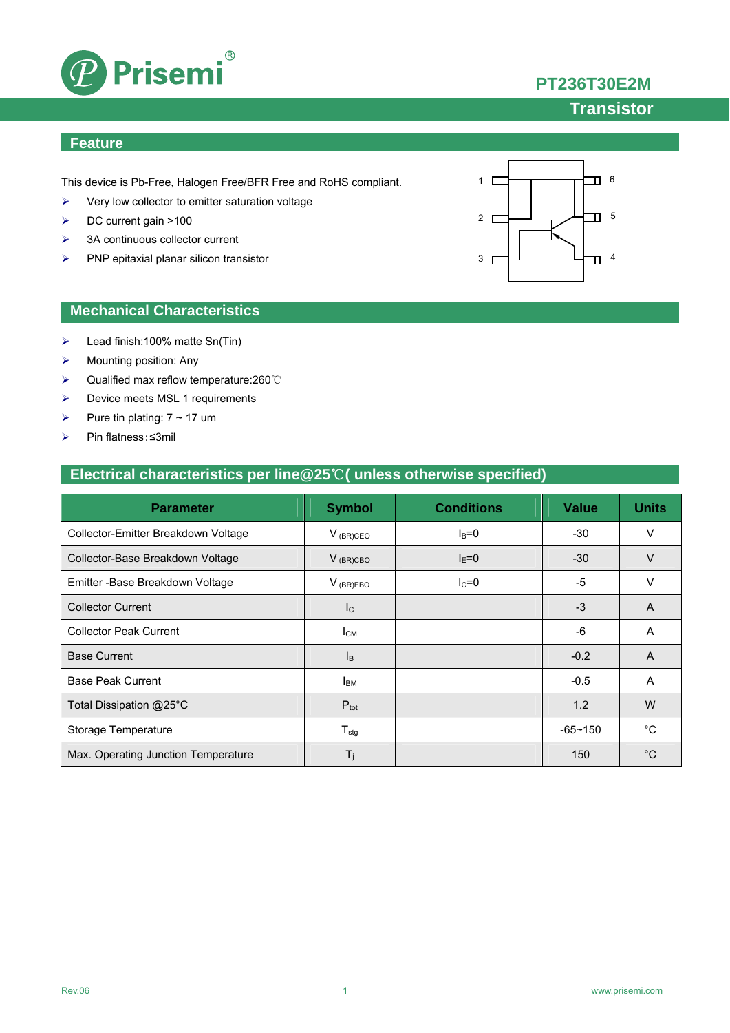

# **PT236T30E2M**

### **Transistor**

#### **Feature**

This device is Pb-Free, Halogen Free/BFR Free and RoHS compliant.

- $\triangleright$  Very low collector to emitter saturation voltage
- DC current gain >100
- > 3A continuous collector current
- $\triangleright$  PNP epitaxial planar silicon transistor



#### **Mechanical Characteristics**

- $\blacktriangleright$  Lead finish:100% matte Sn(Tin)
- $\triangleright$  Mounting position: Any
- Qualified max reflow temperature:260℃
- **▶** Device meets MSL 1 requirements
- Pure tin plating:  $7 \sim 17$  um
- Pin flatness:≤3mil

#### **Electrical characteristics per line@25**℃**( unless otherwise specified)**

| <b>Parameter</b>                    | <b>Symbol</b>              | <b>Conditions</b> | <b>Value</b> | <b>Units</b> |
|-------------------------------------|----------------------------|-------------------|--------------|--------------|
| Collector-Emitter Breakdown Voltage | $V_{(BR)CEO}$              | $I_B=0$           | $-30$        | V            |
| Collector-Base Breakdown Voltage    | $V_{(BR)CBO}$              | $I_F=0$           | $-30$        | $\vee$       |
| Emitter - Base Breakdown Voltage    | $V_{(BR)EBO}$              | $I_C = 0$         | -5           | $\vee$       |
| <b>Collector Current</b>            | $\mathsf{I}_{\mathsf{C}}$  |                   | $-3$         | A            |
| <b>Collector Peak Current</b>       | $I_{CM}$                   |                   | $-6$         | A            |
| <b>Base Current</b>                 | $I_{\rm B}$                |                   | $-0.2$       | A            |
| <b>Base Peak Current</b>            | <b>I</b> <sub>BM</sub>     |                   | $-0.5$       | A            |
| Total Dissipation @25°C             | $P_{\text{tot}}$           |                   | 1.2          | W            |
| Storage Temperature                 | ${\mathsf T}_{\text{stg}}$ |                   | $-65 - 150$  | °C           |
| Max. Operating Junction Temperature | $T_i$                      |                   | 150          | $^{\circ}C$  |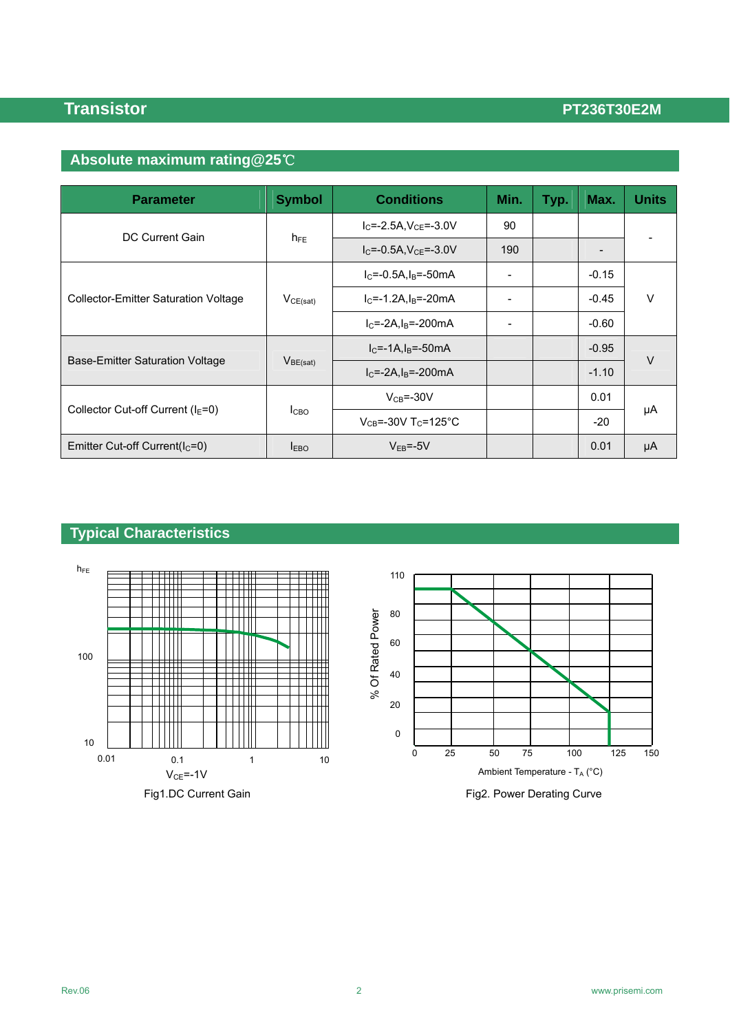# **Absolute maximum rating@25**℃

| <b>Parameter</b>                            | <b>Symbol</b>    | <b>Conditions</b>                     | Min.                     | Typ. | Max.    | Units |  |
|---------------------------------------------|------------------|---------------------------------------|--------------------------|------|---------|-------|--|
| DC Current Gain                             | $h_{FE}$         | $IC=-2.5A, VCE=-3.0V$                 | 90                       |      |         |       |  |
|                                             |                  | $I_{C} = -0.5A$ , $V_{CF} = -3.0V$    | 190                      |      |         |       |  |
| <b>Collector-Emitter Saturation Voltage</b> | $V_{CE(sat)}$    | $IC=-0.5A, IB=-50mA$                  |                          |      | $-0.15$ | V     |  |
|                                             |                  | $IC=-1.2A, IB=-20mA$                  | $\overline{a}$           |      | $-0.45$ |       |  |
|                                             |                  | $IC=-2A,IB=-200mA$                    | $\overline{\phantom{0}}$ |      | $-0.60$ |       |  |
|                                             | $V_{BE(sat)}$    | $IC=-1A, IB=-50mA$                    |                          |      | $-0.95$ | V     |  |
| Base-Emitter Saturation Voltage             |                  | $IC=-2A,IB=-200mA$                    |                          |      | $-1.10$ |       |  |
| Collector Cut-off Current ( $IE=0$ )        | I <sub>CBO</sub> | $V_{CB} = -30V$                       |                          |      | 0.01    | μA    |  |
|                                             |                  | $V_{CB} = -30V$ T <sub>C</sub> =125°C |                          |      | $-20$   |       |  |
| Emitter Cut-off Current( $I_c=0$ )          | I <sub>EBO</sub> | $V_{FB} = -5V$                        |                          |      | 0.01    | μA    |  |

# **Typical Characteristics**

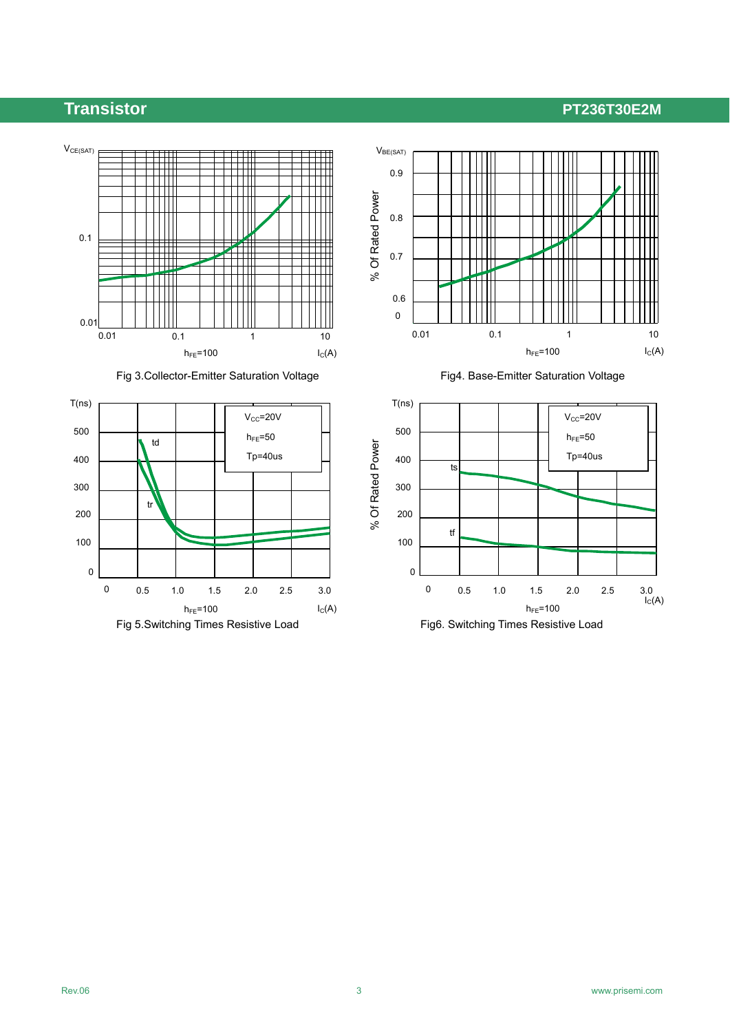

Fig 3. Collector-Emitter Saturation Voltage Fig4. Base-Emitter Saturation Voltage





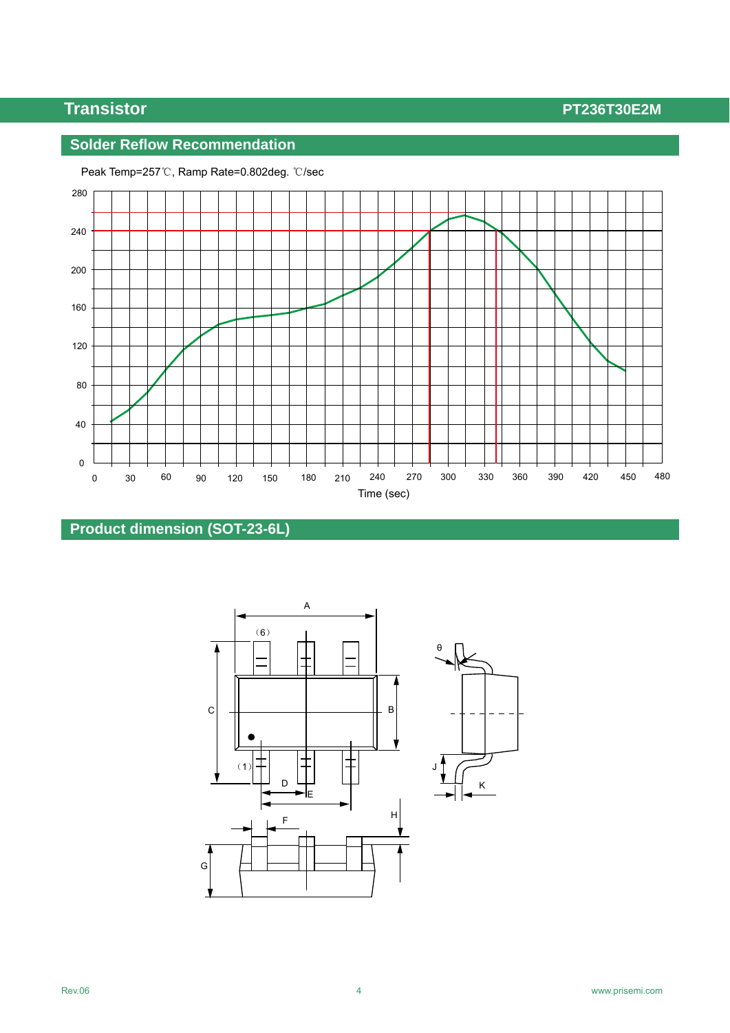### **Solder Reflow Recommendation**



Peak Temp=257℃, Ramp Rate=0.802deg. ℃/sec

### **Product dimension (SOT-23-6L)**

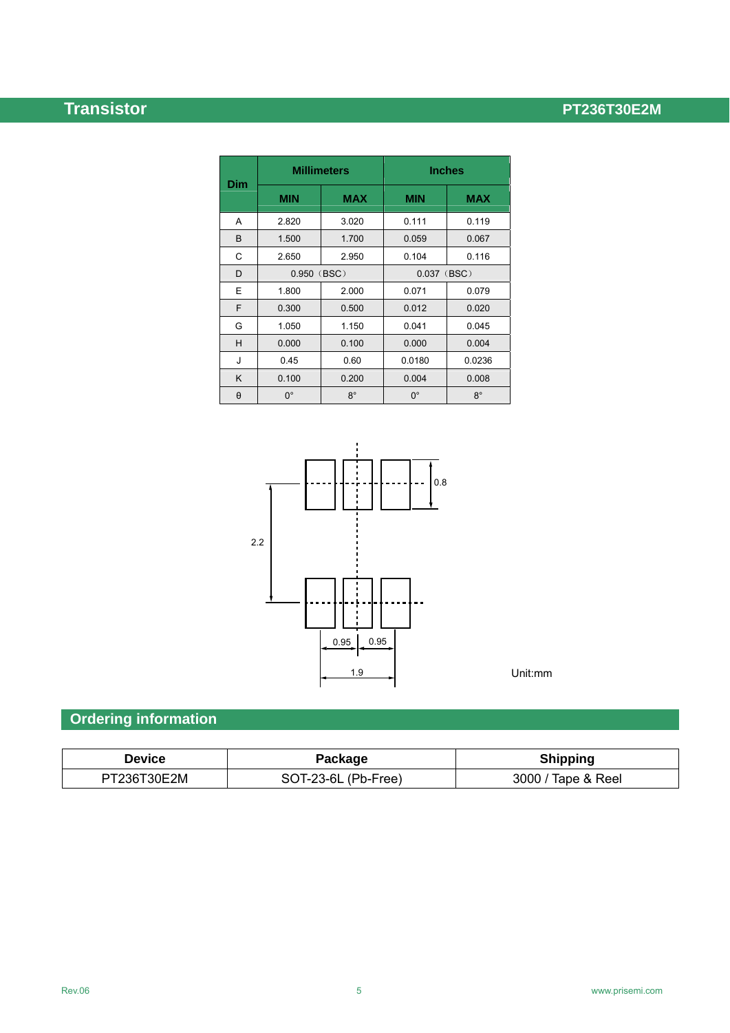|            | <b>Millimeters</b> |             | <b>Inches</b> |             |  |
|------------|--------------------|-------------|---------------|-------------|--|
| <b>Dim</b> | <b>MIN</b>         | <b>MAX</b>  | <b>MIN</b>    | MAX         |  |
| A          | 2.820              | 3.020       | 0.111         | 0.119       |  |
| B          | 1.500              | 1.700       | 0.059         | 0.067       |  |
| C          | 2.650              | 2.950       | 0.104         | 0.116       |  |
| D          | 0.950 (BSC)        |             | $0.037$ (BSC) |             |  |
| E          | 1.800              | 2.000       | 0.071         | 0.079       |  |
| F          | 0.300              | 0.500       | 0.012         | 0.020       |  |
| G          | 1.050              | 1.150       | 0.041         | 0.045       |  |
| н          | 0.000              | 0.100       | 0.000         | 0.004       |  |
| J          | 0.45               | 0.60        | 0.0180        | 0.0236      |  |
| K          | 0.100              | 0.200       | 0.004         | 0.008       |  |
| $\theta$   | $0^{\circ}$        | $8^{\circ}$ | $0^{\circ}$   | $8^{\circ}$ |  |



Unit:mm

# **Ordering information**

| <b>Device</b> | Package             | <b>Shipping</b>    |  |  |
|---------------|---------------------|--------------------|--|--|
| PT236T30E2M   | SOT-23-6L (Pb-Free) | 3000 / Tape & Reel |  |  |